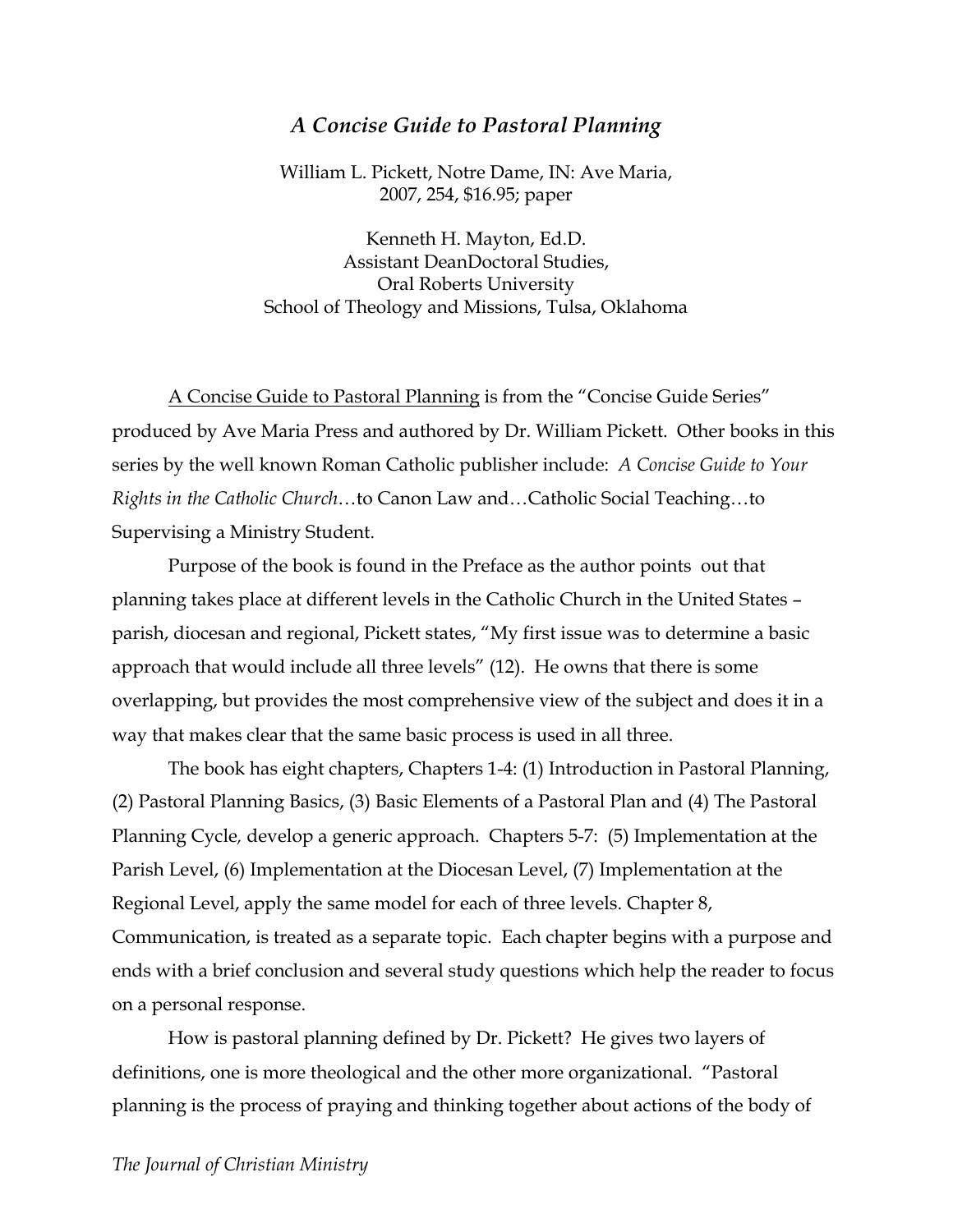## *A Concise Guide to Pastoral Planning*

William L. Pickett, Notre Dame, IN: Ave Maria, 2007, 254, \$16.95; paper

Kenneth H. Mayton, Ed.D. Assistant DeanDoctoral Studies, Oral Roberts University School of Theology and Missions, Tulsa, Oklahoma

A Concise Guide to Pastoral Planning is from the "Concise Guide Series" produced by Ave Maria Press and authored by Dr. William Pickett. Other books in this series by the well known Roman Catholic publisher include: *A Concise Guide to Your Rights in the Catholic Church*…to Canon Law and…Catholic Social Teaching…to Supervising a Ministry Student.

Purpose of the book is found in the Preface as the author points out that planning takes place at different levels in the Catholic Church in the United States – parish, diocesan and regional, Pickett states, "My first issue was to determine a basic approach that would include all three levels" (12). He owns that there is some overlapping, but provides the most comprehensive view of the subject and does it in a way that makes clear that the same basic process is used in all three.

The book has eight chapters, Chapters 1-4: (1) Introduction in Pastoral Planning, (2) Pastoral Planning Basics, (3) Basic Elements of a Pastoral Plan and (4) The Pastoral Planning Cycle*,* develop a generic approach. Chapters 5-7: (5) Implementation at the Parish Level, (6) Implementation at the Diocesan Level, (7) Implementation at the Regional Level, apply the same model for each of three levels. Chapter 8, Communication, is treated as a separate topic. Each chapter begins with a purpose and ends with a brief conclusion and several study questions which help the reader to focus on a personal response.

How is pastoral planning defined by Dr. Pickett? He gives two layers of definitions, one is more theological and the other more organizational. "Pastoral planning is the process of praying and thinking together about actions of the body of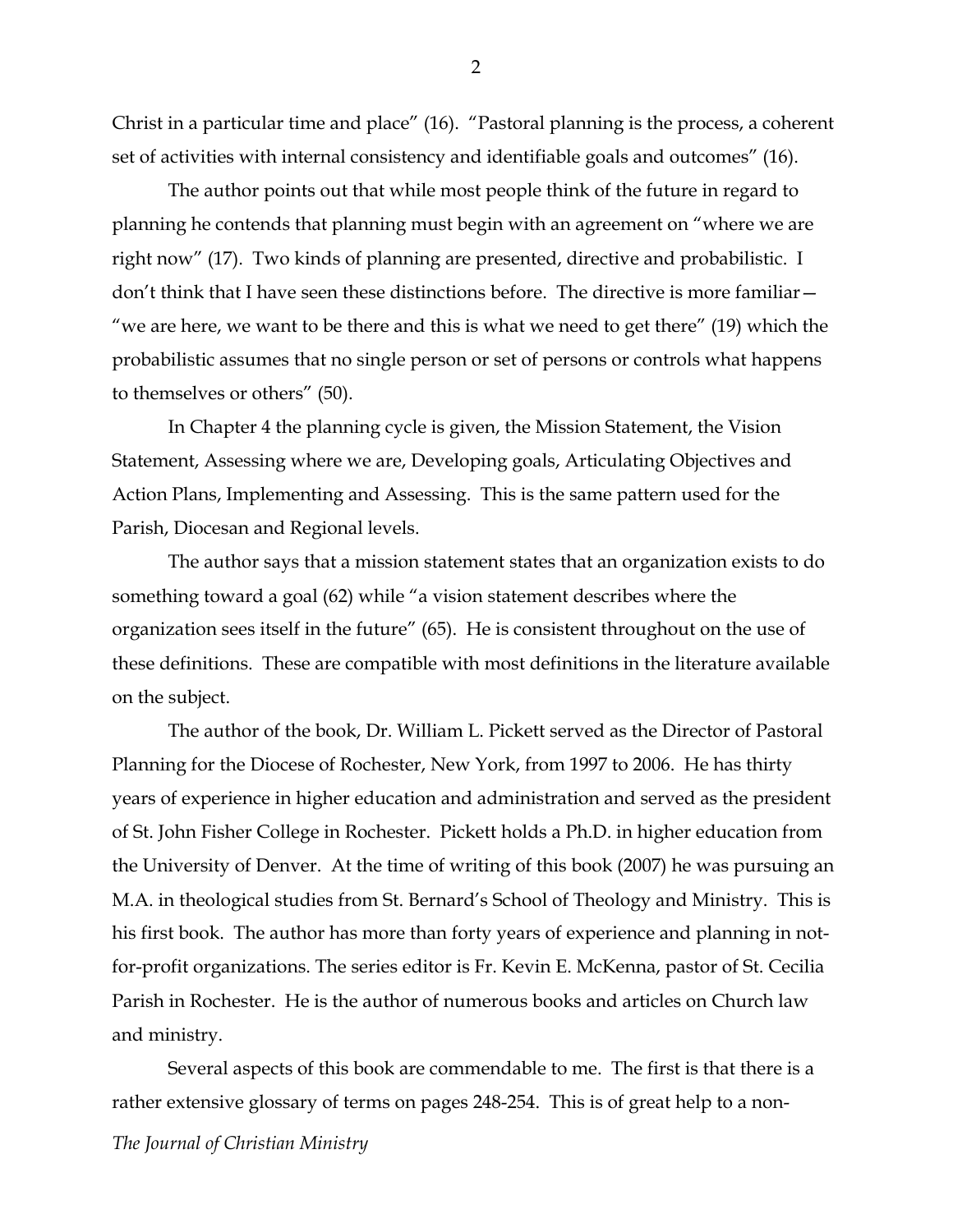Christ in a particular time and place" (16). "Pastoral planning is the process, a coherent set of activities with internal consistency and identifiable goals and outcomes" (16).

The author points out that while most people think of the future in regard to planning he contends that planning must begin with an agreement on "where we are right now" (17). Two kinds of planning are presented, directive and probabilistic. I don't think that I have seen these distinctions before. The directive is more familiar— "we are here, we want to be there and this is what we need to get there" (19) which the probabilistic assumes that no single person or set of persons or controls what happens to themselves or others" (50).

In Chapter 4 the planning cycle is given, the Mission Statement, the Vision Statement, Assessing where we are, Developing goals, Articulating Objectives and Action Plans, Implementing and Assessing. This is the same pattern used for the Parish, Diocesan and Regional levels.

The author says that a mission statement states that an organization exists to do something toward a goal (62) while "a vision statement describes where the organization sees itself in the future" (65). He is consistent throughout on the use of these definitions. These are compatible with most definitions in the literature available on the subject.

The author of the book, Dr. William L. Pickett served as the Director of Pastoral Planning for the Diocese of Rochester, New York, from 1997 to 2006. He has thirty years of experience in higher education and administration and served as the president of St. John Fisher College in Rochester. Pickett holds a Ph.D. in higher education from the University of Denver. At the time of writing of this book (2007) he was pursuing an M.A. in theological studies from St. Bernard's School of Theology and Ministry. This is his first book. The author has more than forty years of experience and planning in notfor-profit organizations. The series editor is Fr. Kevin E. McKenna, pastor of St. Cecilia Parish in Rochester. He is the author of numerous books and articles on Church law and ministry.

Several aspects of this book are commendable to me. The first is that there is a rather extensive glossary of terms on pages 248-254. This is of great help to a non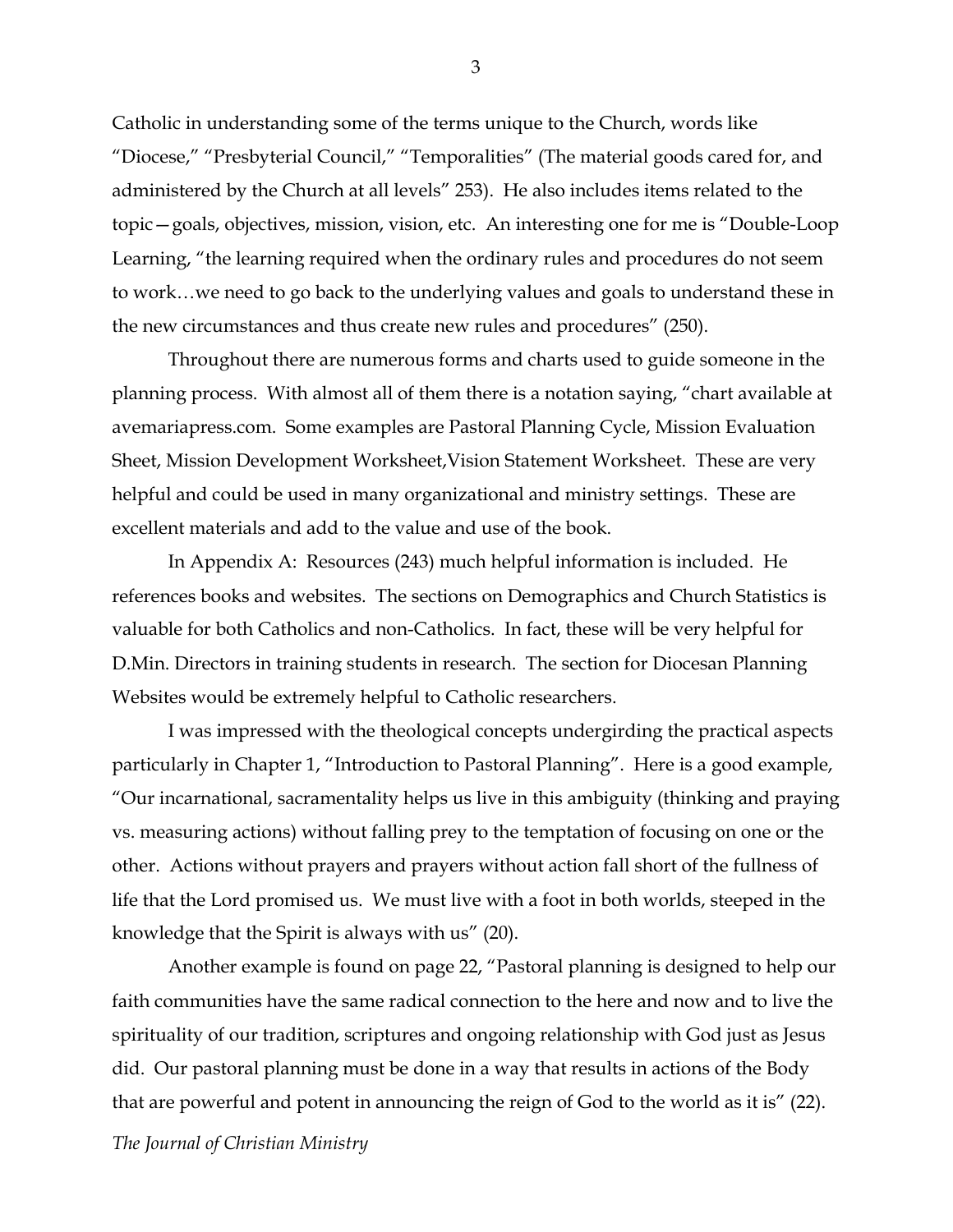Catholic in understanding some of the terms unique to the Church, words like "Diocese," "Presbyterial Council," "Temporalities" (The material goods cared for, and administered by the Church at all levels" 253). He also includes items related to the topic—goals, objectives, mission, vision, etc. An interesting one for me is "Double-Loop Learning, "the learning required when the ordinary rules and procedures do not seem to work…we need to go back to the underlying values and goals to understand these in the new circumstances and thus create new rules and procedures" (250).

Throughout there are numerous forms and charts used to guide someone in the planning process. With almost all of them there is a notation saying, "chart available at avemariapress.com. Some examples are Pastoral Planning Cycle, Mission Evaluation Sheet, Mission Development Worksheet,Vision Statement Worksheet. These are very helpful and could be used in many organizational and ministry settings. These are excellent materials and add to the value and use of the book.

In Appendix A: Resources (243) much helpful information is included. He references books and websites. The sections on Demographics and Church Statistics is valuable for both Catholics and non-Catholics. In fact, these will be very helpful for D.Min. Directors in training students in research. The section for Diocesan Planning Websites would be extremely helpful to Catholic researchers.

I was impressed with the theological concepts undergirding the practical aspects particularly in Chapter 1, "Introduction to Pastoral Planning". Here is a good example, "Our incarnational, sacramentality helps us live in this ambiguity (thinking and praying vs. measuring actions) without falling prey to the temptation of focusing on one or the other. Actions without prayers and prayers without action fall short of the fullness of life that the Lord promised us. We must live with a foot in both worlds, steeped in the knowledge that the Spirit is always with us" (20).

Another example is found on page 22, "Pastoral planning is designed to help our faith communities have the same radical connection to the here and now and to live the spirituality of our tradition, scriptures and ongoing relationship with God just as Jesus did. Our pastoral planning must be done in a way that results in actions of the Body that are powerful and potent in announcing the reign of God to the world as it is" (22).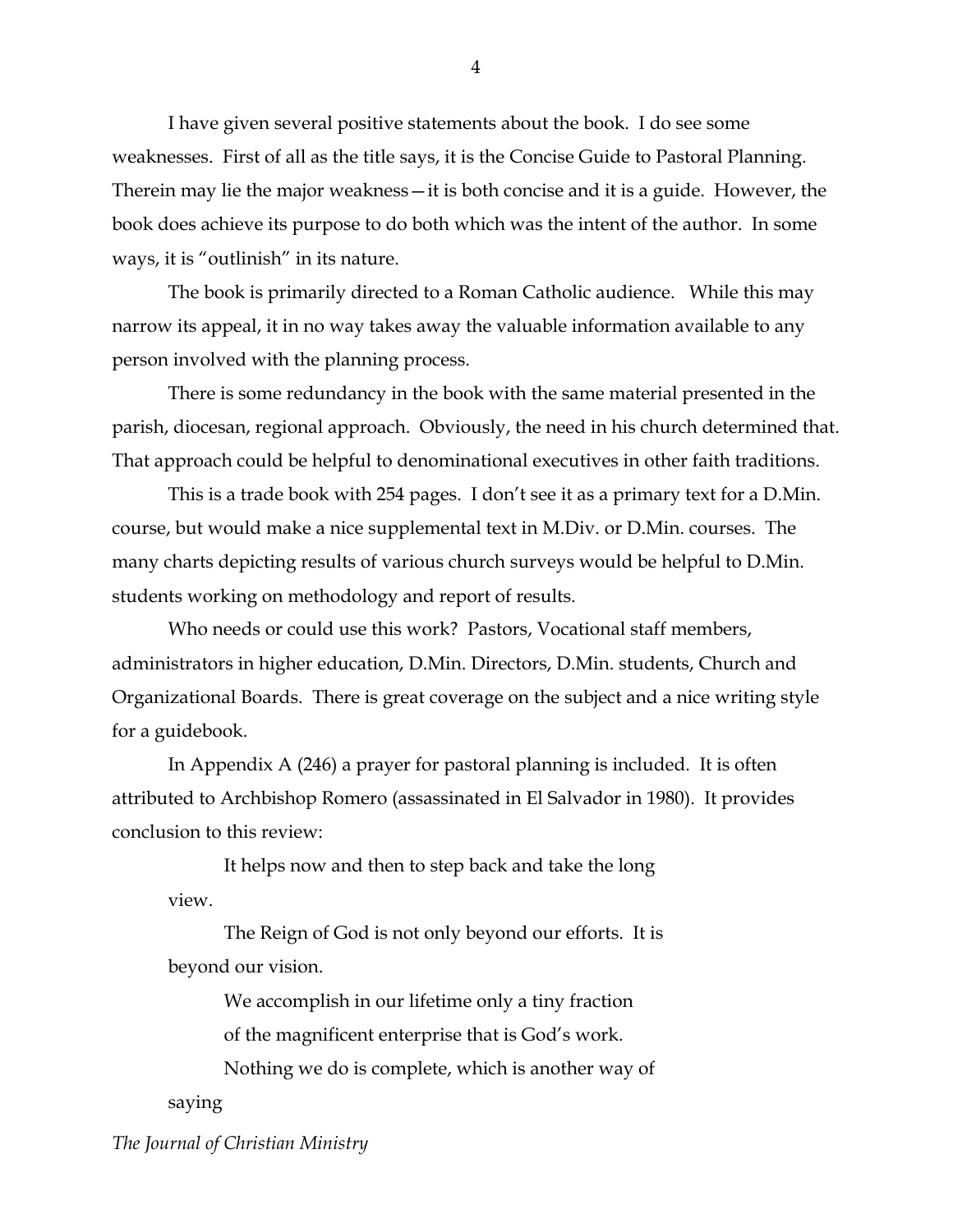I have given several positive statements about the book. I do see some weaknesses. First of all as the title says, it is the Concise Guide to Pastoral Planning. Therein may lie the major weakness—it is both concise and it is a guide. However, the book does achieve its purpose to do both which was the intent of the author. In some ways, it is "outlinish" in its nature.

The book is primarily directed to a Roman Catholic audience. While this may narrow its appeal, it in no way takes away the valuable information available to any person involved with the planning process.

There is some redundancy in the book with the same material presented in the parish, diocesan, regional approach. Obviously, the need in his church determined that. That approach could be helpful to denominational executives in other faith traditions.

This is a trade book with 254 pages. I don't see it as a primary text for a D.Min. course, but would make a nice supplemental text in M.Div. or D.Min. courses. The many charts depicting results of various church surveys would be helpful to D.Min. students working on methodology and report of results.

Who needs or could use this work? Pastors, Vocational staff members, administrators in higher education, D.Min. Directors, D.Min. students, Church and Organizational Boards. There is great coverage on the subject and a nice writing style for a guidebook.

In Appendix A (246) a prayer for pastoral planning is included. It is often attributed to Archbishop Romero (assassinated in El Salvador in 1980). It provides conclusion to this review:

It helps now and then to step back and take the long view.

The Reign of God is not only beyond our efforts. It is beyond our vision.

> We accomplish in our lifetime only a tiny fraction of the magnificent enterprise that is God's work.

Nothing we do is complete, which is another way of

saying

*The Journal of Christian Ministry*

4